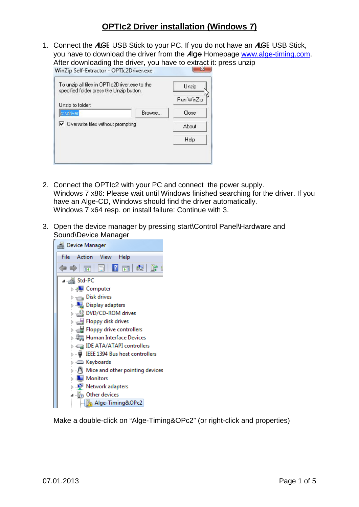1. Connect the ALGE USB Stick to your PC. If you do not have an ALGE USB Stick, you have to download the driver from the Alge Homepage [www.alge-timing.com.](http://www.alge-timing.com/) After downloading the driver, you have to extract it: press unzip

| To unzip all files in OPTIc2Driver.exe to the<br>specified folder press the Unzip button. |        | Unzip      |
|-------------------------------------------------------------------------------------------|--------|------------|
| Unzip to folder:                                                                          |        | Run WinZip |
| c:\driver                                                                                 | Browse | Close      |
| $\triangledown$ Overwrite files without prompting                                         |        | About      |
|                                                                                           |        | Help       |

- 2. Connect the OPTIc2 with your PC and connect the power supply. Windows 7 x86: Please wait until Windows finished searching for the driver. If you have an Alge-CD, Windows should find the driver automatically. Windows 7 x64 resp. on install failure: Continue with 3.
- 3. Open the device manager by pressing start\Control Panel\Hardware and Sound\Device Manager



Make a double-click on "Alge-Timing&OPc2" (or right-click and properties)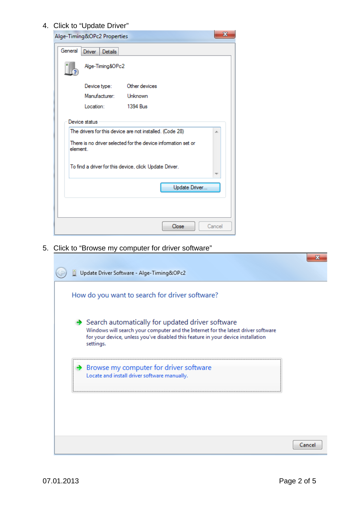## 4. Click to "Update Driver"

|          | Alge-Timing&OPc2 Properties |                                                                                                                           | x      |
|----------|-----------------------------|---------------------------------------------------------------------------------------------------------------------------|--------|
| General  | Driver<br><b>Details</b>    |                                                                                                                           |        |
|          | Alge-Timing&OPc2            |                                                                                                                           |        |
|          | Device type:                | Other devices                                                                                                             |        |
|          | Manufacturer:               | Unknown                                                                                                                   |        |
|          | Location:                   | 1394 Bus                                                                                                                  |        |
| element. | Device status               | The drivers for this device are not installed. (Code 28)<br>There is no driver selected for the device information set or | ×.     |
|          |                             | To find a driver for this device, click Update Driver.                                                                    |        |
|          |                             | Update Driver                                                                                                             |        |
|          |                             |                                                                                                                           |        |
|          |                             | Close                                                                                                                     | Cancel |

5. Click to "Browse my computer for driver software"

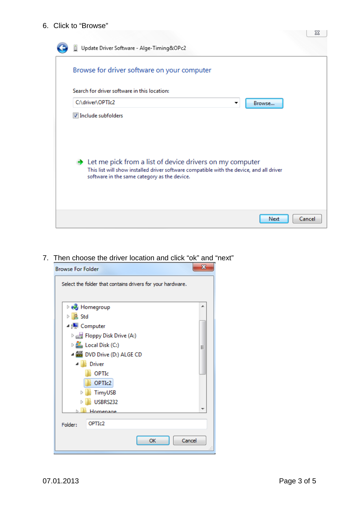## 6. Click to "Browse"

| Update Driver Software - Alge-Timing&OPc2                                                                                                                                                                                                |        |
|------------------------------------------------------------------------------------------------------------------------------------------------------------------------------------------------------------------------------------------|--------|
| Browse for driver software on your computer                                                                                                                                                                                              |        |
| Search for driver software in this location:                                                                                                                                                                                             |        |
| C:\driver\OPTIc2<br>Browse<br>▼                                                                                                                                                                                                          |        |
| Include subfolders<br>$\rightarrow$ Let me pick from a list of device drivers on my computer<br>This list will show installed driver software compatible with the device, and all driver<br>software in the same category as the device. |        |
| Next                                                                                                                                                                                                                                     | Cancel |

## 7. Then choose the driver location and click "ok" and "next"

| ж<br><b>Browse For Folder</b> |                                                            |   |
|-------------------------------|------------------------------------------------------------|---|
|                               | Select the folder that contains drivers for your hardware. |   |
|                               | <b>B</b> Homegroup                                         |   |
| <b>B</b> Std                  |                                                            |   |
| ⊿ <sub>I</sub> L Computer     |                                                            |   |
|                               | Floppy Disk Drive (A:)                                     |   |
|                               | $\triangleright$ $\mathbf{M}$ Local Disk (C:)              | Ξ |
|                               | ▲ ▲ DVD Drive (D:) ALGE CD                                 |   |
|                               | <b>A</b> Driver                                            |   |
|                               | OPTIc                                                      |   |
|                               | OPTIc2                                                     |   |
|                               | TimyUSB                                                    |   |
|                               | USBRS232                                                   |   |
|                               | Inmenage                                                   |   |
| Folder:                       | OPTI <sub>c</sub> 2                                        |   |
|                               | Cancel<br>OK                                               |   |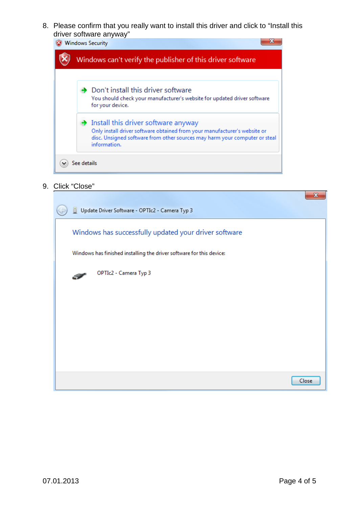8. Please confirm that you really want to install this driver and click to "Install this driver software anyway"



9. Click "Close"

|                                                                      | x     |
|----------------------------------------------------------------------|-------|
| Update Driver Software - OPTIc2 - Camera Typ 3                       |       |
| Windows has successfully updated your driver software                |       |
| Windows has finished installing the driver software for this device: |       |
| OPTIc2 - Camera Typ 3<br>$\mathcal{P}$                               |       |
|                                                                      |       |
|                                                                      |       |
|                                                                      |       |
|                                                                      |       |
|                                                                      | Close |